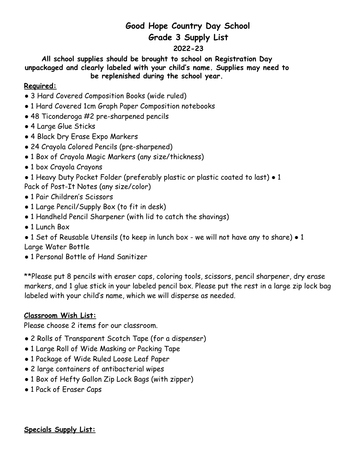## **Good Hope Country Day School Grade 3 Supply List**

## **2022-23**

**All school supplies should be brought to school on Registration Day unpackaged and clearly labeled with your child's name. Supplies may need to be replenished during the school year.**

## **Required:**

- 3 Hard Covered Composition Books (wide ruled)
- 1 Hard Covered 1cm Graph Paper Composition notebooks
- 48 Ticonderoga #2 pre-sharpened pencils
- 4 Large Glue Sticks
- 4 Black Dry Erase Expo Markers
- 24 Crayola Colored Pencils (pre-sharpened)
- 1 Box of Crayola Magic Markers (any size/thickness)
- 1 box Crayola Crayons
- 1 Heavy Duty Pocket Folder (preferably plastic or plastic coated to last) 1 Pack of Post-It Notes (any size/color)
- 1 Pair Children's Scissors
- 1 Large Pencil/Supply Box (to fit in desk)
- 1 Handheld Pencil Sharpener (with lid to catch the shavings)
- 1 Lunch Box

● 1 Set of Reusable Utensils (to keep in lunch box - we will not have any to share) ● 1 Large Water Bottle

● 1 Personal Bottle of Hand Sanitizer

\*\*Please put 8 pencils with eraser caps, coloring tools, scissors, pencil sharpener, dry erase markers, and 1 glue stick in your labeled pencil box. Please put the rest in a large zip lock bag labeled with your child's name, which we will disperse as needed.

## **Classroom Wish List:**

Please choose 2 items for our classroom.

- 2 Rolls of Transparent Scotch Tape (for a dispenser)
- 1 Large Roll of Wide Masking or Packing Tape
- 1 Package of Wide Ruled Loose Leaf Paper
- 2 large containers of antibacterial wipes
- 1 Box of Hefty Gallon Zip Lock Bags (with zipper)
- 1 Pack of Eraser Caps

**Specials Supply List:**